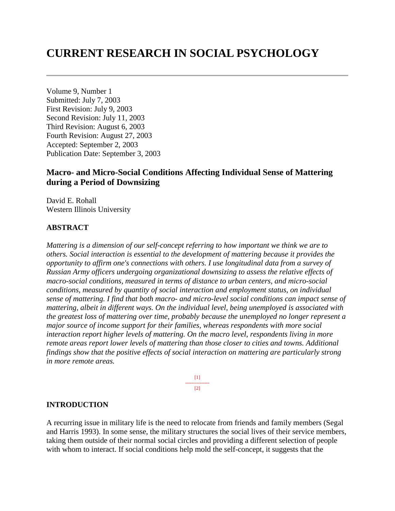# **CURRENT RESEARCH IN SOCIAL PSYCHOLOGY**

Volume 9, Number 1 Submitted: July 7, 2003 First Revision: July 9, 2003 Second Revision: July 11, 2003 Third Revision: August 6, 2003 Fourth Revision: August 27, 2003 Accepted: September 2, 2003 Publication Date: September 3, 2003

# **Macro- and Micro-Social Conditions Affecting Individual Sense of Mattering during a Period of Downsizing**

David E. Rohall Western Illinois University

#### **ABSTRACT**

*Mattering is a dimension of our self-concept referring to how important we think we are to others. Social interaction is essential to the development of mattering because it provides the opportunity to affirm one's connections with others. I use longitudinal data from a survey of Russian Army officers undergoing organizational downsizing to assess the relative effects of macro-social conditions, measured in terms of distance to urban centers, and micro-social conditions, measured by quantity of social interaction and employment status, on individual sense of mattering. I find that both macro- and micro-level social conditions can impact sense of mattering, albeit in different ways. On the individual level, being unemployed is associated with the greatest loss of mattering over time, probably because the unemployed no longer represent a major source of income support for their families, whereas respondents with more social interaction report higher levels of mattering. On the macro level, respondents living in more remote areas report lower levels of mattering than those closer to cities and towns. Additional findings show that the positive effects of social interaction on mattering are particularly strong in more remote areas.* 

> [1] ---------------  $[2]$

#### **INTRODUCTION**

A recurring issue in military life is the need to relocate from friends and family members (Segal and Harris 1993). In some sense, the military structures the social lives of their service members, taking them outside of their normal social circles and providing a different selection of people with whom to interact. If social conditions help mold the self-concept, it suggests that the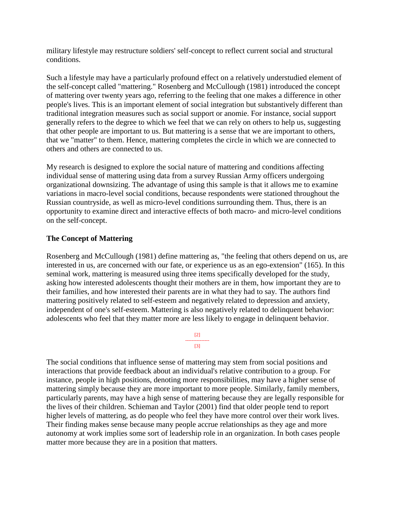military lifestyle may restructure soldiers' self-concept to reflect current social and structural conditions.

Such a lifestyle may have a particularly profound effect on a relatively understudied element of the self-concept called "mattering." Rosenberg and McCullough (1981) introduced the concept of mattering over twenty years ago, referring to the feeling that one makes a difference in other people's lives. This is an important element of social integration but substantively different than traditional integration measures such as social support or anomie. For instance, social support generally refers to the degree to which we feel that we can rely on others to help us, suggesting that other people are important to us. But mattering is a sense that we are important to others, that we "matter" to them. Hence, mattering completes the circle in which we are connected to others and others are connected to us.

My research is designed to explore the social nature of mattering and conditions affecting individual sense of mattering using data from a survey Russian Army officers undergoing organizational downsizing. The advantage of using this sample is that it allows me to examine variations in macro-level social conditions, because respondents were stationed throughout the Russian countryside, as well as micro-level conditions surrounding them. Thus, there is an opportunity to examine direct and interactive effects of both macro- and micro-level conditions on the self-concept.

## **The Concept of Mattering**

Rosenberg and McCullough (1981) define mattering as, "the feeling that others depend on us, are interested in us, are concerned with our fate, or experience us as an ego-extension" (165). In this seminal work, mattering is measured using three items specifically developed for the study, asking how interested adolescents thought their mothers are in them, how important they are to their families, and how interested their parents are in what they had to say. The authors find mattering positively related to self-esteem and negatively related to depression and anxiety, independent of one's self-esteem. Mattering is also negatively related to delinquent behavior: adolescents who feel that they matter more are less likely to engage in delinquent behavior.

> [2] --------------- [3]

The social conditions that influence sense of mattering may stem from social positions and interactions that provide feedback about an individual's relative contribution to a group. For instance, people in high positions, denoting more responsibilities, may have a higher sense of mattering simply because they are more important to more people. Similarly, family members, particularly parents, may have a high sense of mattering because they are legally responsible for the lives of their children. Schieman and Taylor (2001) find that older people tend to report higher levels of mattering, as do people who feel they have more control over their work lives. Their finding makes sense because many people accrue relationships as they age and more autonomy at work implies some sort of leadership role in an organization. In both cases people matter more because they are in a position that matters.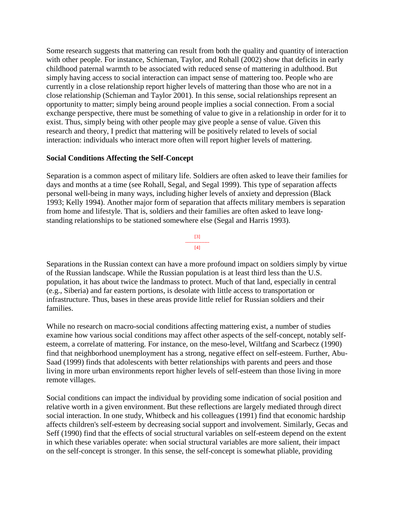Some research suggests that mattering can result from both the quality and quantity of interaction with other people. For instance, Schieman, Taylor, and Rohall (2002) show that deficits in early childhood paternal warmth to be associated with reduced sense of mattering in adulthood. But simply having access to social interaction can impact sense of mattering too. People who are currently in a close relationship report higher levels of mattering than those who are not in a close relationship (Schieman and Taylor 2001). In this sense, social relationships represent an opportunity to matter; simply being around people implies a social connection. From a social exchange perspective, there must be something of value to give in a relationship in order for it to exist. Thus, simply being with other people may give people a sense of value. Given this research and theory, I predict that mattering will be positively related to levels of social interaction: individuals who interact more often will report higher levels of mattering.

#### **Social Conditions Affecting the Self-Concept**

Separation is a common aspect of military life. Soldiers are often asked to leave their families for days and months at a time (see Rohall, Segal, and Segal 1999). This type of separation affects personal well-being in many ways, including higher levels of anxiety and depression (Black 1993; Kelly 1994). Another major form of separation that affects military members is separation from home and lifestyle. That is, soldiers and their families are often asked to leave longstanding relationships to be stationed somewhere else (Segal and Harris 1993).



Separations in the Russian context can have a more profound impact on soldiers simply by virtue of the Russian landscape. While the Russian population is at least third less than the U.S. population, it has about twice the landmass to protect. Much of that land, especially in central (e.g., Siberia) and far eastern portions, is desolate with little access to transportation or infrastructure. Thus, bases in these areas provide little relief for Russian soldiers and their families.

While no research on macro-social conditions affecting mattering exist, a number of studies examine how various social conditions may affect other aspects of the self-concept, notably selfesteem, a correlate of mattering. For instance, on the meso-level, Wiltfang and Scarbecz (1990) find that neighborhood unemployment has a strong, negative effect on self-esteem. Further, Abu-Saad (1999) finds that adolescents with better relationships with parents and peers and those living in more urban environments report higher levels of self-esteem than those living in more remote villages.

Social conditions can impact the individual by providing some indication of social position and relative worth in a given environment. But these reflections are largely mediated through direct social interaction. In one study, Whitbeck and his colleagues (1991) find that economic hardship affects children's self-esteem by decreasing social support and involvement. Similarly, Gecas and Seff (1990) find that the effects of social structural variables on self-esteem depend on the extent in which these variables operate: when social structural variables are more salient, their impact on the self-concept is stronger. In this sense, the self-concept is somewhat pliable, providing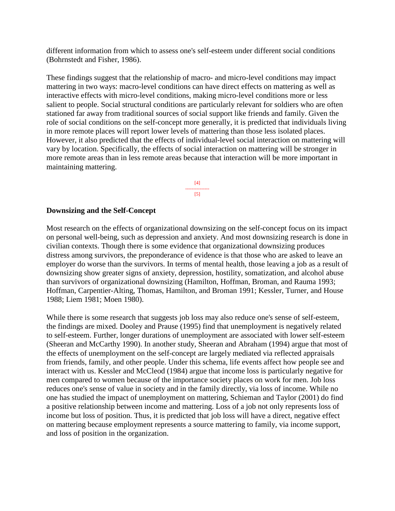different information from which to assess one's self-esteem under different social conditions (Bohrnstedt and Fisher, 1986).

These findings suggest that the relationship of macro- and micro-level conditions may impact mattering in two ways: macro-level conditions can have direct effects on mattering as well as interactive effects with micro-level conditions, making micro-level conditions more or less salient to people. Social structural conditions are particularly relevant for soldiers who are often stationed far away from traditional sources of social support like friends and family. Given the role of social conditions on the self-concept more generally, it is predicted that individuals living in more remote places will report lower levels of mattering than those less isolated places. However, it also predicted that the effects of individual-level social interaction on mattering will vary by location. Specifically, the effects of social interaction on mattering will be stronger in more remote areas than in less remote areas because that interaction will be more important in maintaining mattering.

> [4] --------------- [5]

#### **Downsizing and the Self-Concept**

Most research on the effects of organizational downsizing on the self-concept focus on its impact on personal well-being, such as depression and anxiety. And most downsizing research is done in civilian contexts. Though there is some evidence that organizational downsizing produces distress among survivors, the preponderance of evidence is that those who are asked to leave an employer do worse than the survivors. In terms of mental health, those leaving a job as a result of downsizing show greater signs of anxiety, depression, hostility, somatization, and alcohol abuse than survivors of organizational downsizing (Hamilton, Hoffman, Broman, and Rauma 1993; Hoffman, Carpentier-Alting, Thomas, Hamilton, and Broman 1991; Kessler, Turner, and House 1988; Liem 1981; Moen 1980).

While there is some research that suggests job loss may also reduce one's sense of self-esteem, the findings are mixed. Dooley and Prause (1995) find that unemployment is negatively related to self-esteem. Further, longer durations of unemployment are associated with lower self-esteem (Sheeran and McCarthy 1990). In another study, Sheeran and Abraham (1994) argue that most of the effects of unemployment on the self-concept are largely mediated via reflected appraisals from friends, family, and other people. Under this schema, life events affect how people see and interact with us. Kessler and McCleod (1984) argue that income loss is particularly negative for men compared to women because of the importance society places on work for men. Job loss reduces one's sense of value in society and in the family directly, via loss of income. While no one has studied the impact of unemployment on mattering, Schieman and Taylor (2001) do find a positive relationship between income and mattering. Loss of a job not only represents loss of income but loss of position. Thus, it is predicted that job loss will have a direct, negative effect on mattering because employment represents a source mattering to family, via income support, and loss of position in the organization.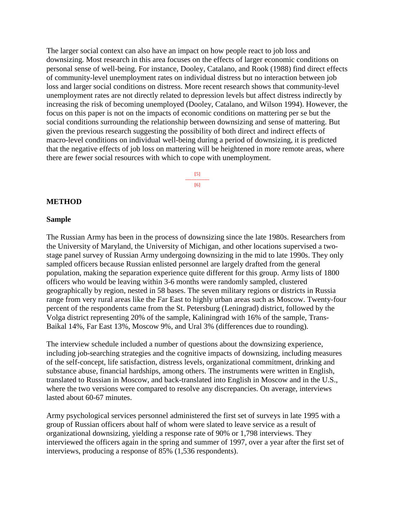The larger social context can also have an impact on how people react to job loss and downsizing. Most research in this area focuses on the effects of larger economic conditions on personal sense of well-being. For instance, Dooley, Catalano, and Rook (1988) find direct effects of community-level unemployment rates on individual distress but no interaction between job loss and larger social conditions on distress. More recent research shows that community-level unemployment rates are not directly related to depression levels but affect distress indirectly by increasing the risk of becoming unemployed (Dooley, Catalano, and Wilson 1994). However, the focus on this paper is not on the impacts of economic conditions on mattering per se but the social conditions surrounding the relationship between downsizing and sense of mattering. But given the previous research suggesting the possibility of both direct and indirect effects of macro-level conditions on individual well-being during a period of downsizing, it is predicted that the negative effects of job loss on mattering will be heightened in more remote areas, where there are fewer social resources with which to cope with unemployment.

> [5] --------------- [6]

#### **METHOD**

#### **Sample**

The Russian Army has been in the process of downsizing since the late 1980s. Researchers from the University of Maryland, the University of Michigan, and other locations supervised a twostage panel survey of Russian Army undergoing downsizing in the mid to late 1990s. They only sampled officers because Russian enlisted personnel are largely drafted from the general population, making the separation experience quite different for this group. Army lists of 1800 officers who would be leaving within 3-6 months were randomly sampled, clustered geographically by region, nested in 58 bases. The seven military regions or districts in Russia range from very rural areas like the Far East to highly urban areas such as Moscow. Twenty-four percent of the respondents came from the St. Petersburg (Leningrad) district, followed by the Volga district representing 20% of the sample, Kaliningrad with 16% of the sample, Trans-Baikal 14%, Far East 13%, Moscow 9%, and Ural 3% (differences due to rounding).

The interview schedule included a number of questions about the downsizing experience, including job-searching strategies and the cognitive impacts of downsizing, including measures of the self-concept, life satisfaction, distress levels, organizational commitment, drinking and substance abuse, financial hardships, among others. The instruments were written in English, translated to Russian in Moscow, and back-translated into English in Moscow and in the U.S., where the two versions were compared to resolve any discrepancies. On average, interviews lasted about 60-67 minutes.

Army psychological services personnel administered the first set of surveys in late 1995 with a group of Russian officers about half of whom were slated to leave service as a result of organizational downsizing, yielding a response rate of 90% or 1,798 interviews. They interviewed the officers again in the spring and summer of 1997, over a year after the first set of interviews, producing a response of 85% (1,536 respondents).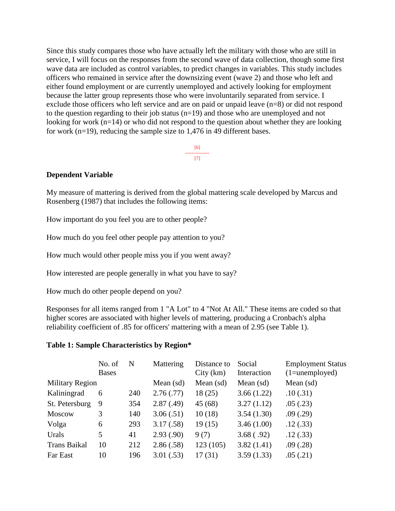Since this study compares those who have actually left the military with those who are still in service, I will focus on the responses from the second wave of data collection, though some first wave data are included as control variables, to predict changes in variables. This study includes officers who remained in service after the downsizing event (wave 2) and those who left and either found employment or are currently unemployed and actively looking for employment because the latter group represents those who were involuntarily separated from service. I exclude those officers who left service and are on paid or unpaid leave (n=8) or did not respond to the question regarding to their job status (n=19) and those who are unemployed and not looking for work ( $n=14$ ) or who did not respond to the question about whether they are looking for work (n=19), reducing the sample size to 1,476 in 49 different bases.

> [6] --------------- [7]

#### **Dependent Variable**

My measure of mattering is derived from the global mattering scale developed by Marcus and Rosenberg (1987) that includes the following items:

How important do you feel you are to other people?

How much do you feel other people pay attention to you?

How much would other people miss you if you went away?

How interested are people generally in what you have to say?

How much do other people depend on you?

Responses for all items ranged from 1 "A Lot" to 4 "Not At All." These items are coded so that higher scores are associated with higher levels of mattering, producing a Cronbach's alpha reliability coefficient of .85 for officers' mattering with a mean of 2.95 (see Table 1).

#### **Table 1: Sample Characteristics by Region\***

|                        | No. of<br><b>Bases</b> | N   | Mattering   | Distance to<br>City(km) | Social<br>Interaction | <b>Employment Status</b><br>$(1 =$ unemployed) |
|------------------------|------------------------|-----|-------------|-------------------------|-----------------------|------------------------------------------------|
| <b>Military Region</b> |                        |     | Mean $(sd)$ | Mean (sd)               | Mean $(sd)$           | Mean $(sd)$                                    |
| Kaliningrad            | 6                      | 240 | 2.76(.77)   | 18(25)                  | 3.66(1.22)            | .10(.31)                                       |
| St. Petersburg         | 9                      | 354 | 2.87(.49)   | 45 (68)                 | 3.27(1.12)            | .05(.23)                                       |
| <b>Moscow</b>          | 3                      | 140 | 3.06(.51)   | 10(18)                  | 3.54(1.30)            | .09(.29)                                       |
| Volga                  | 6                      | 293 | 3.17(.58)   | 19(15)                  | 3.46(1.00)            | .12(.33)                                       |
| Urals                  | 5                      | 41  | 2.93(.90)   | 9(7)                    | 3.68(.92)             | .12(.33)                                       |
| <b>Trans Baikal</b>    | 10                     | 212 | 2.86(.58)   | 123(105)                | 3.82(1.41)            | .09(.28)                                       |
| Far East               | 10                     | 196 | 3.01(.53)   | 17(31)                  | 3.59(1.33)            | .05(.21)                                       |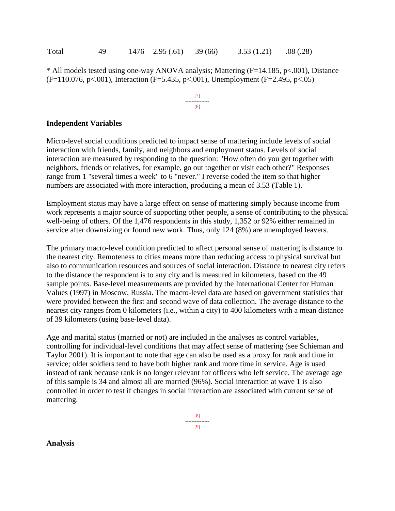| Total | -49 |  | $1476$ 2.95 (.61) 39 (66) |  | 3.53(1.21) | .08(.28) |
|-------|-----|--|---------------------------|--|------------|----------|
|-------|-----|--|---------------------------|--|------------|----------|

\* All models tested using one-way ANOVA analysis; Mattering (F=14.185, p<.001), Distance  $(F=110.076, p\lt 0.001)$ , Interaction (F=5.435, p $\lt 0.001$ ), Unemployment (F=2.495, p $\lt 0.05$ )

> [7] --------------- [8]

#### **Independent Variables**

Micro-level social conditions predicted to impact sense of mattering include levels of social interaction with friends, family, and neighbors and employment status. Levels of social interaction are measured by responding to the question: "How often do you get together with neighbors, friends or relatives, for example, go out together or visit each other?" Responses range from 1 "several times a week" to 6 "never." I reverse coded the item so that higher numbers are associated with more interaction, producing a mean of 3.53 (Table 1).

Employment status may have a large effect on sense of mattering simply because income from work represents a major source of supporting other people, a sense of contributing to the physical well-being of others. Of the 1,476 respondents in this study, 1,352 or 92% either remained in service after downsizing or found new work. Thus, only 124 (8%) are unemployed leavers.

The primary macro-level condition predicted to affect personal sense of mattering is distance to the nearest city. Remoteness to cities means more than reducing access to physical survival but also to communication resources and sources of social interaction. Distance to nearest city refers to the distance the respondent is to any city and is measured in kilometers, based on the 49 sample points. Base-level measurements are provided by the International Center for Human Values (1997) in Moscow, Russia. The macro-level data are based on government statistics that were provided between the first and second wave of data collection. The average distance to the nearest city ranges from 0 kilometers (i.e., within a city) to 400 kilometers with a mean distance of 39 kilometers (using base-level data).

Age and marital status (married or not) are included in the analyses as control variables, controlling for individual-level conditions that may affect sense of mattering (see Schieman and Taylor 2001). It is important to note that age can also be used as a proxy for rank and time in service; older soldiers tend to have both higher rank and more time in service. Age is used instead of rank because rank is no longer relevant for officers who left service. The average age of this sample is 34 and almost all are married (96%). Social interaction at wave 1 is also controlled in order to test if changes in social interaction are associated with current sense of mattering.

**Analysis**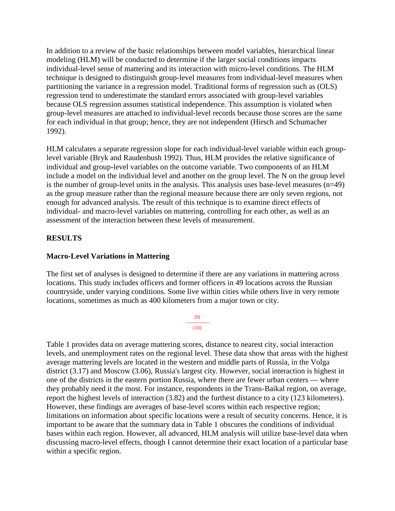In addition to a review of the basic relationships between model variables, hierarchical linear modeling (HLM) will be conducted to determine if the larger social conditions impacts individual-level sense of mattering and its interaction with micro-level conditions. The HLM technique is designed to distinguish group-level measures from individual-level measures when partitioning the variance in a regression model. Traditional forms of regression such as (OLS) regression tend to underestimate the standard errors associated with group-level variables because OLS regression assumes statistical independence. This assumption is violated when group-level measures are attached to individual-level records because those scores are the same for each individual in that group; hence, they are not independent (Hirsch and Schumacher 1992).

HLM calculates a separate regression slope for each individual-level variable within each grouplevel variable (Bryk and Raudenbush 1992). Thus, HLM provides the relative significance of individual and group-level variables on the outcome variable. Two components of an HLM include a model on the individual level and another on the group level. The N on the group level is the number of group-level units in the analysis. This analysis uses base-level measures (n=49) as the group measure rather than the regional measure because there are only seven regions, not enough for advanced analysis. The result of this technique is to examine direct effects of individual- and macro-level variables on mattering, controlling for each other, as well as an assessment of the interaction between these levels of measurement.

## **RESULTS**

#### **Macro-Level Variations in Mattering**

The first set of analyses is designed to determine if there are any variations in mattering across locations. This study includes officers and former officers in 49 locations across the Russian countryside, under varying conditions. Some live within cities while others live in very remote locations, sometimes as much as 400 kilometers from a major town or city.

#### [9] --------------- [10]

Table 1 provides data on average mattering scores, distance to nearest city, social interaction levels, and unemployment rates on the regional level. These data show that areas with the highest average mattering levels are located in the western and middle parts of Russia, in the Volga district (3.17) and Moscow (3.06), Russia's largest city. However, social interaction is highest in one of the districts in the eastern portion Russia, where there are fewer urban centers — where they probably need it the most. For instance, respondents in the Trans-Baikal region, on average, report the highest levels of interaction (3.82) and the furthest distance to a city (123 kilometers). However, these findings are averages of base-level scores within each respective region; limitations on information about specific locations were a result of security concerns. Hence, it is important to be aware that the summary data in Table 1 obscures the conditions of individual bases within each region. However, all advanced, HLM analysis will utilize base-level data when discussing macro-level effects, though I cannot determine their exact location of a particular base within a specific region.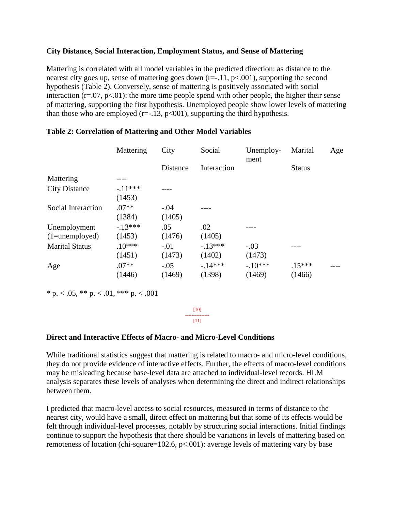## **City Distance, Social Interaction, Employment Status, and Sense of Mattering**

Mattering is correlated with all model variables in the predicted direction: as distance to the nearest city goes up, sense of mattering goes down (r=-.11, p<.001), supporting the second hypothesis (Table 2). Conversely, sense of mattering is positively associated with social interaction  $(r=.07, p<.01)$ : the more time people spend with other people, the higher their sense of mattering, supporting the first hypothesis. Unemployed people show lower levels of mattering than those who are employed (r= $-.13$ , p<001), supporting the third hypothesis.

|                                    | Mattering           | City             | Social             | Unemploy-<br>ment   | Marital            | Age |
|------------------------------------|---------------------|------------------|--------------------|---------------------|--------------------|-----|
|                                    |                     | Distance         | Interaction        |                     | <b>Status</b>      |     |
| Mattering                          |                     |                  |                    |                     |                    |     |
| <b>City Distance</b>               | $-.11***$<br>(1453) |                  |                    |                     |                    |     |
| Social Interaction                 | $.07**$<br>(1384)   | $-.04$<br>(1405) |                    |                     |                    |     |
| Unemployment<br>$(1 =$ unemployed) | $-.13***$<br>(1453) | .05<br>(1476)    | .02<br>(1405)      |                     |                    |     |
| <b>Marital Status</b>              | $.10***$<br>(1451)  | $-.01$<br>(1473) | $-13***$<br>(1402) | $-.03$<br>(1473)    |                    |     |
| Age                                | $.07**$<br>(1446)   | $-.05$<br>(1469) | $-14***$<br>(1398) | $-.10***$<br>(1469) | $.15***$<br>(1466) |     |

#### **Table 2: Correlation of Mattering and Other Model Variables**

\* p.  $< .05$ , \*\* p.  $< .01$ , \*\*\* p.  $< .001$ 

[10] ---------------  $[11]$ 

#### **Direct and Interactive Effects of Macro- and Micro-Level Conditions**

While traditional statistics suggest that mattering is related to macro- and micro-level conditions, they do not provide evidence of interactive effects. Further, the effects of macro-level conditions may be misleading because base-level data are attached to individual-level records. HLM analysis separates these levels of analyses when determining the direct and indirect relationships between them.

I predicted that macro-level access to social resources, measured in terms of distance to the nearest city, would have a small, direct effect on mattering but that some of its effects would be felt through individual-level processes, notably by structuring social interactions. Initial findings continue to support the hypothesis that there should be variations in levels of mattering based on remoteness of location (chi-square=102.6,  $p<0.01$ ): average levels of mattering vary by base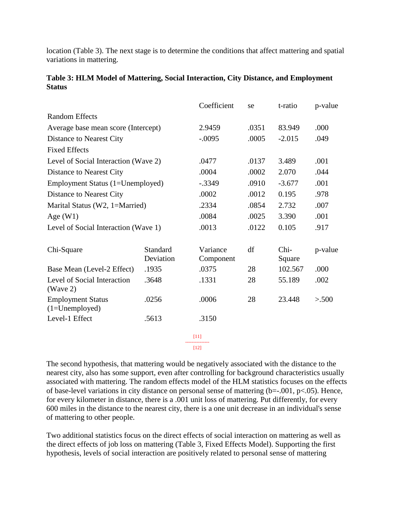location (Table 3). The next stage is to determine the conditions that affect mattering and spatial variations in mattering.

|                                              |                       | Coefficient           | se       | t-ratio        | p-value |
|----------------------------------------------|-----------------------|-----------------------|----------|----------------|---------|
| <b>Random Effects</b>                        |                       |                       |          |                |         |
| Average base mean score (Intercept)          | 2.9459                | .0351                 | 83.949   | .000           |         |
| Distance to Nearest City                     |                       | $-.0095$              | .0005    | $-2.015$       | .049    |
| <b>Fixed Effects</b>                         |                       |                       |          |                |         |
| Level of Social Interaction (Wave 2)         |                       | .0477                 | .0137    | 3.489          | .001    |
| Distance to Nearest City                     | .0004                 | .0002                 | 2.070    | .044           |         |
| Employment Status (1=Unemployed)             | $-.3349$              | .0910                 | $-3.677$ | .001           |         |
| Distance to Nearest City                     |                       | .0002                 | .0012    | 0.195          | .978    |
| Marital Status (W2, 1=Married)               | .2334                 | .0854                 | 2.732    | .007           |         |
| Age $(W1)$                                   | .0084                 | .0025                 | 3.390    | .001           |         |
| Level of Social Interaction (Wave 1)         |                       | .0013                 | .0122    | 0.105          | .917    |
| Chi-Square                                   | Standard<br>Deviation | Variance<br>Component | df       | Chi-<br>Square | p-value |
| Base Mean (Level-2 Effect)                   | .1935                 | .0375                 | 28       | 102.567        | .000    |
| Level of Social Interaction<br>(Wave 2)      | .3648                 | .1331                 | 28       | 55.189         | .002    |
| <b>Employment Status</b><br>$(1=Unemployed)$ | .0256                 | .0006                 | 28       | 23.448         | > 500   |
| Level-1 Effect                               | .5613                 | .3150                 |          |                |         |
|                                              |                       | $[11]$                |          |                |         |
|                                              |                       | $[12]$                |          |                |         |

# **Table 3: HLM Model of Mattering, Social Interaction, City Distance, and Employment Status**

The second hypothesis, that mattering would be negatively associated with the distance to the nearest city, also has some support, even after controlling for background characteristics usually associated with mattering. The random effects model of the HLM statistics focuses on the effects of base-level variations in city distance on personal sense of mattering (b=-.001, p<.05). Hence, for every kilometer in distance, there is a .001 unit loss of mattering. Put differently, for every 600 miles in the distance to the nearest city, there is a one unit decrease in an individual's sense of mattering to other people.

Two additional statistics focus on the direct effects of social interaction on mattering as well as the direct effects of job loss on mattering (Table 3, Fixed Effects Model). Supporting the first hypothesis, levels of social interaction are positively related to personal sense of mattering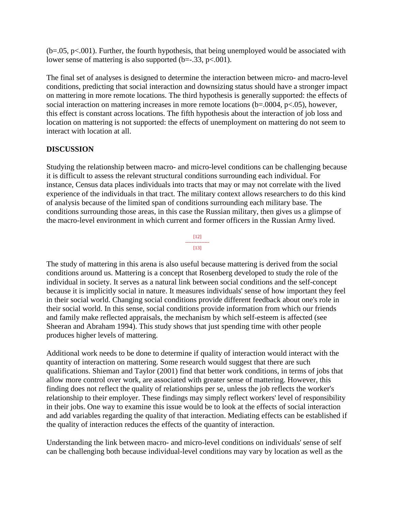$(b=.05, p<.001)$ . Further, the fourth hypothesis, that being unemployed would be associated with lower sense of mattering is also supported  $(b=.33, p<.001)$ .

The final set of analyses is designed to determine the interaction between micro- and macro-level conditions, predicting that social interaction and downsizing status should have a stronger impact on mattering in more remote locations. The third hypothesis is generally supported: the effects of social interaction on mattering increases in more remote locations (b=.0004, p<.05), however, this effect is constant across locations. The fifth hypothesis about the interaction of job loss and location on mattering is not supported: the effects of unemployment on mattering do not seem to interact with location at all.

## **DISCUSSION**

Studying the relationship between macro- and micro-level conditions can be challenging because it is difficult to assess the relevant structural conditions surrounding each individual. For instance, Census data places individuals into tracts that may or may not correlate with the lived experience of the individuals in that tract. The military context allows researchers to do this kind of analysis because of the limited span of conditions surrounding each military base. The conditions surrounding those areas, in this case the Russian military, then gives us a glimpse of the macro-level environment in which current and former officers in the Russian Army lived.



The study of mattering in this arena is also useful because mattering is derived from the social conditions around us. Mattering is a concept that Rosenberg developed to study the role of the individual in society. It serves as a natural link between social conditions and the self-concept because it is implicitly social in nature. It measures individuals' sense of how important they feel in their social world. Changing social conditions provide different feedback about one's role in their social world. In this sense, social conditions provide information from which our friends and family make reflected appraisals, the mechanism by which self-esteem is affected (see Sheeran and Abraham 1994). This study shows that just spending time with other people produces higher levels of mattering.

Additional work needs to be done to determine if quality of interaction would interact with the quantity of interaction on mattering. Some research would suggest that there are such qualifications. Shieman and Taylor (2001) find that better work conditions, in terms of jobs that allow more control over work, are associated with greater sense of mattering. However, this finding does not reflect the quality of relationships per se, unless the job reflects the worker's relationship to their employer. These findings may simply reflect workers' level of responsibility in their jobs. One way to examine this issue would be to look at the effects of social interaction and add variables regarding the quality of that interaction. Mediating effects can be established if the quality of interaction reduces the effects of the quantity of interaction.

Understanding the link between macro- and micro-level conditions on individuals' sense of self can be challenging both because individual-level conditions may vary by location as well as the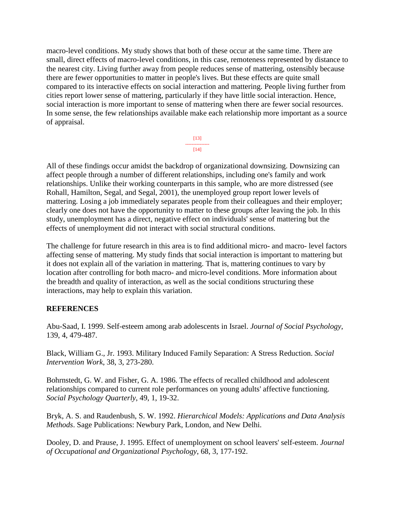macro-level conditions. My study shows that both of these occur at the same time. There are small, direct effects of macro-level conditions, in this case, remoteness represented by distance to the nearest city. Living further away from people reduces sense of mattering, ostensibly because there are fewer opportunities to matter in people's lives. But these effects are quite small compared to its interactive effects on social interaction and mattering. People living further from cities report lower sense of mattering, particularly if they have little social interaction. Hence, social interaction is more important to sense of mattering when there are fewer social resources. In some sense, the few relationships available make each relationship more important as a source of appraisal.

> [13] --------------- [14]

All of these findings occur amidst the backdrop of organizational downsizing. Downsizing can affect people through a number of different relationships, including one's family and work relationships. Unlike their working counterparts in this sample, who are more distressed (see Rohall, Hamilton, Segal, and Segal, 2001), the unemployed group report lower levels of mattering. Losing a job immediately separates people from their colleagues and their employer; clearly one does not have the opportunity to matter to these groups after leaving the job. In this study, unemployment has a direct, negative effect on individuals' sense of mattering but the effects of unemployment did not interact with social structural conditions.

The challenge for future research in this area is to find additional micro- and macro- level factors affecting sense of mattering. My study finds that social interaction is important to mattering but it does not explain all of the variation in mattering. That is, mattering continues to vary by location after controlling for both macro- and micro-level conditions. More information about the breadth and quality of interaction, as well as the social conditions structuring these interactions, may help to explain this variation.

# **REFERENCES**

Abu-Saad, I. 1999. Self-esteem among arab adolescents in Israel. *Journal of Social Psychology*, 139, 4, 479-487.

Black, William G., Jr. 1993. Military Induced Family Separation: A Stress Reduction. *Social Intervention Work*, 38, 3, 273-280.

Bohrnstedt, G. W. and Fisher, G. A. 1986. The effects of recalled childhood and adolescent relationships compared to current role performances on young adults' affective functioning. *Social Psychology Quarterly*, 49, 1, 19-32.

Bryk, A. S. and Raudenbush, S. W. 1992. *Hierarchical Models: Applications and Data Analysis Methods*. Sage Publications: Newbury Park, London, and New Delhi.

Dooley, D. and Prause, J. 1995. Effect of unemployment on school leavers' self-esteem. *Journal of Occupational and Organizational Psychology*, 68, 3, 177-192.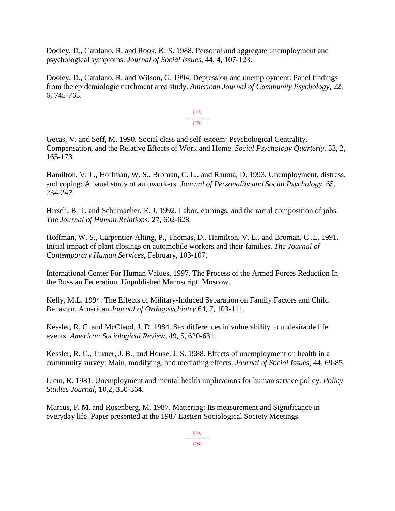Dooley, D., Catalano, R. and Rook, K. S. 1988. Personal and aggregate unemployment and psychological symptoms. *Journal of Social Issues*, 44, 4, 107-123.

Dooley, D., Catalano, R. and Wilson, G. 1994. Depression and unemployment: Panel findings from the epidemiologic catchment area study. *American Journal of Community Psychology*, 22, 6, 745-765.

> [14] ---------------  $[15]$

Gecas, V. and Seff, M. 1990. Social class and self-esteem: Psychological Centrality, Compensation, and the Relative Effects of Work and Home. *Social Psychology Quarterly*, 53, 2, 165-173.

Hamilton, V. L., Hoffman, W. S., Broman, C. L., and Rauma, D. 1993. Unemployment, distress, and coping: A panel study of autoworkers. *Journal of Personality and Social Psychology*, 65, 234-247.

Hirsch, B. T. and Schumacher, E. J. 1992. Labor, earnings, and the racial composition of jobs. *The Journal of Human Relations*, 27, 602-628.

Hoffman, W. S., Carpentier-Alting, P., Thomas, D., Hamilton, V. L., and Broman, C .L. 1991. Initial impact of plant closings on automobile workers and their families. *The Journal of Contemporary Human Services*, February, 103-107.

International Center For Human Values. 1997. The Process of the Armed Forces Reduction In the Russian Federation. Unpublished Manuscript. Moscow.

Kelly, M.L. 1994. The Effects of Military-Induced Separation on Family Factors and Child Behavior. American *Journal of Orthopsychiatry* 64, 7, 103-111.

Kessler, R. C. and McCleod, J. D. 1984. Sex differences in vulnerability to undesirable life events. *American Sociological Review*, 49, 5, 620-631.

Kessler, R. C., Turner, J. B., and House, J. S. 1988. Effects of unemployment on health in a community survey: Main, modifying, and mediating effects. *Journal of Social Issues*, 44, 69-85.

Liem, R. 1981. Unemployment and mental health implications for human service policy. *Policy Studies Journal*, 10,2, 350-364.

Marcus, F. M. and Rosenberg, M. 1987. Mattering: Its measurement and Significance in everyday life. Paper presented at the 1987 Eastern Sociological Society Meetings.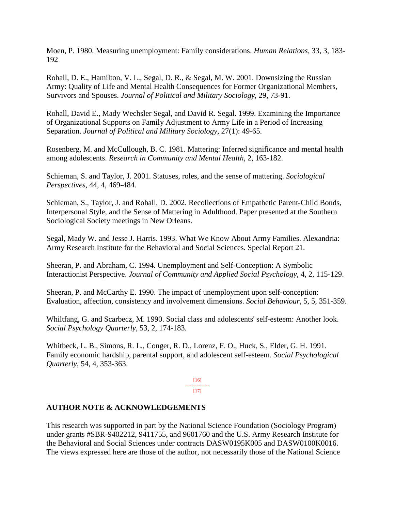Moen, P. 1980. Measuring unemployment: Family considerations. *Human Relations*, 33, 3, 183- 192

Rohall, D. E., Hamilton, V. L., Segal, D. R., & Segal, M. W. 2001. Downsizing the Russian Army: Quality of Life and Mental Health Consequences for Former Organizational Members, Survivors and Spouses. *Journal of Political and Military Sociology*, 29, 73-91.

Rohall, David E., Mady Wechsler Segal, and David R. Segal. 1999. Examining the Importance of Organizational Supports on Family Adjustment to Army Life in a Period of Increasing Separation. *Journal of Political and Military Sociology*, 27(1): 49-65.

Rosenberg, M. and McCullough, B. C. 1981. Mattering: Inferred significance and mental health among adolescents. *Research in Community and Mental Health*, 2, 163-182.

Schieman, S. and Taylor, J. 2001. Statuses, roles, and the sense of mattering. *Sociological Perspectives*, 44, 4, 469-484.

Schieman, S., Taylor, J. and Rohall, D. 2002. Recollections of Empathetic Parent-Child Bonds, Interpersonal Style, and the Sense of Mattering in Adulthood. Paper presented at the Southern Sociological Society meetings in New Orleans.

Segal, Mady W. and Jesse J. Harris. 1993. What We Know About Army Families. Alexandria: Army Research Institute for the Behavioral and Social Sciences. Special Report 21.

Sheeran, P. and Abraham, C. 1994. Unemployment and Self-Conception: A Symbolic Interactionist Perspective. *Journal of Community and Applied Social Psychology*, 4, 2, 115-129.

Sheeran, P. and McCarthy E. 1990. The impact of unemployment upon self-conception: Evaluation, affection, consistency and involvement dimensions. *Social Behaviour*, 5, 5, 351-359.

Whiltfang, G. and Scarbecz, M. 1990. Social class and adolescents' self-esteem: Another look. *Social Psychology Quarterly*, 53, 2, 174-183.

Whitbeck, L. B., Simons, R. L., Conger, R. D., Lorenz, F. O., Huck, S., Elder, G. H. 1991. Family economic hardship, parental support, and adolescent self-esteem. *Social Psychological Quarterly*, 54, 4, 353-363.

> [16] --------------- [17]

# **AUTHOR NOTE & ACKNOWLEDGEMENTS**

This research was supported in part by the National Science Foundation (Sociology Program) under grants #SBR-9402212, 9411755, and 9601760 and the U.S. Army Research Institute for the Behavioral and Social Sciences under contracts DASW0195K005 and DASW0100K0016. The views expressed here are those of the author, not necessarily those of the National Science